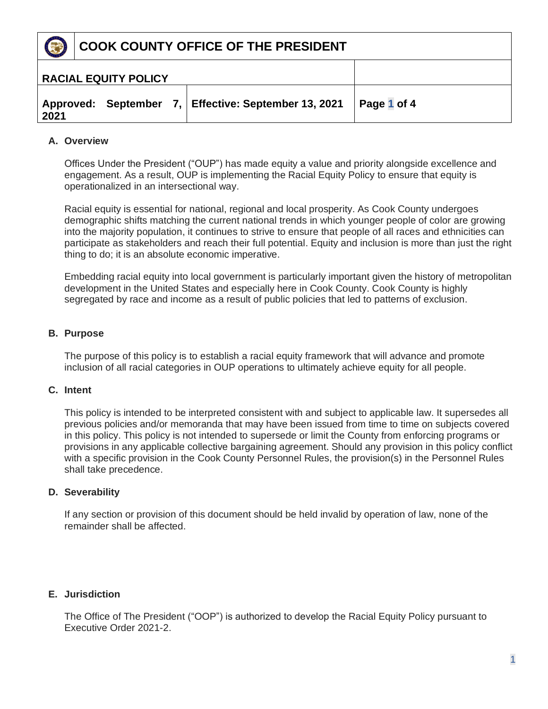

|      | <b>RACIAL EQUITY POLICY</b> |  |                                                      |             |
|------|-----------------------------|--|------------------------------------------------------|-------------|
| 2021 |                             |  | Approved: September 7, Effective: September 13, 2021 | Page 1 of 4 |

# **A. Overview**

Offices Under the President ("OUP") has made equity a value and priority alongside excellence and engagement. As a result, OUP is implementing the Racial Equity Policy to ensure that equity is operationalized in an intersectional way.

Racial equity is essential for national, regional and local prosperity. As Cook County undergoes demographic shifts matching the current national trends in which younger people of color are growing into the majority population, it continues to strive to ensure that people of all races and ethnicities can participate as stakeholders and reach their full potential. Equity and inclusion is more than just the right thing to do; it is an absolute economic imperative.

Embedding racial equity into local government is particularly important given the history of metropolitan development in the United States and especially here in Cook County. Cook County is highly segregated by race and income as a result of public policies that led to patterns of exclusion.

## **B. Purpose**

The purpose of this policy is to establish a racial equity framework that will advance and promote inclusion of all racial categories in OUP operations to ultimately achieve equity for all people.

# **C. Intent**

This policy is intended to be interpreted consistent with and subject to applicable law. It supersedes all previous policies and/or memoranda that may have been issued from time to time on subjects covered in this policy. This policy is not intended to supersede or limit the County from enforcing programs or provisions in any applicable collective bargaining agreement. Should any provision in this policy conflict with a specific provision in the Cook County Personnel Rules, the provision(s) in the Personnel Rules shall take precedence.

## **D. Severability**

If any section or provision of this document should be held invalid by operation of law, none of the remainder shall be affected.

## **E. Jurisdiction**

The Office of The President ("OOP") is authorized to develop the Racial Equity Policy pursuant to Executive Order 2021-2.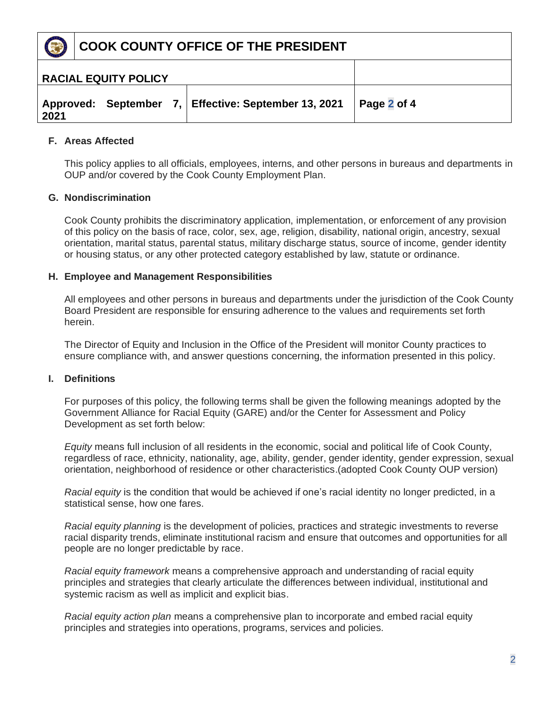

|      | <b>RACIAL EQUITY POLICY</b> |  |                                                      |             |
|------|-----------------------------|--|------------------------------------------------------|-------------|
| 2021 |                             |  | Approved: September 7, Effective: September 13, 2021 | Page 2 of 4 |

# **F. Areas Affected**

This policy applies to all officials, employees, interns, and other persons in bureaus and departments in OUP and/or covered by the Cook County Employment Plan.

## **G. Nondiscrimination**

Cook County prohibits the discriminatory application, implementation, or enforcement of any provision of this policy on the basis of race, color, sex, age, religion, disability, national origin, ancestry, sexual orientation, marital status, parental status, military discharge status, source of income, gender identity or housing status, or any other protected category established by law, statute or ordinance.

#### **H. Employee and Management Responsibilities**

All employees and other persons in bureaus and departments under the jurisdiction of the Cook County Board President are responsible for ensuring adherence to the values and requirements set forth herein.

The Director of Equity and Inclusion in the Office of the President will monitor County practices to ensure compliance with, and answer questions concerning, the information presented in this policy.

## **I. Definitions**

For purposes of this policy, the following terms shall be given the following meanings adopted by the Government Alliance for Racial Equity (GARE) and/or the Center for Assessment and Policy Development as set forth below:

*Equity* means full inclusion of all residents in the economic, social and political life of Cook County, regardless of race, ethnicity, nationality, age, ability, gender, gender identity, gender expression, sexual orientation, neighborhood of residence or other characteristics.(adopted Cook County OUP version)

*Racial equity* is the condition that would be achieved if one's racial identity no longer predicted, in a statistical sense, how one fares.

*Racial equity planning* is the development of policies, practices and strategic investments to reverse racial disparity trends, eliminate institutional racism and ensure that outcomes and opportunities for all people are no longer predictable by race.

*Racial equity framework* means a comprehensive approach and understanding of racial equity principles and strategies that clearly articulate the differences between individual, institutional and systemic racism as well as implicit and explicit bias.

*Racial equity action plan* means a comprehensive plan to incorporate and embed racial equity principles and strategies into operations, programs, services and policies.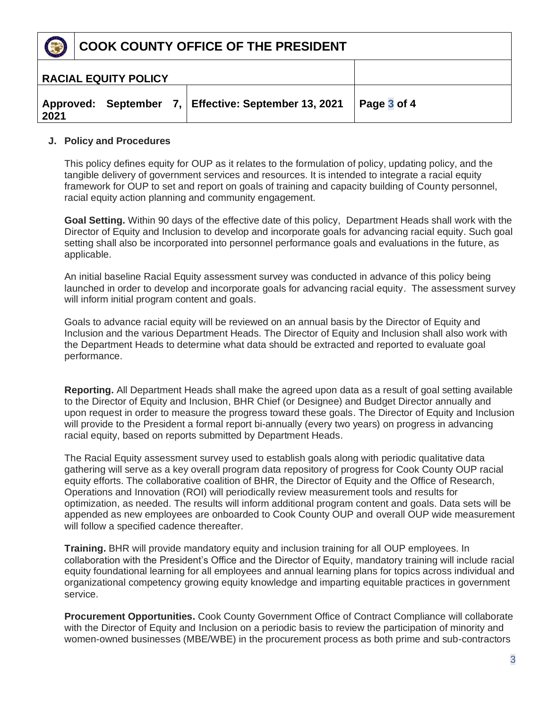

|      | <b>RACIAL EQUITY POLICY</b> |                                                      |             |
|------|-----------------------------|------------------------------------------------------|-------------|
| 2021 |                             | Approved: September 7, Effective: September 13, 2021 | Page 3 of 4 |

## **J. Policy and Procedures**

This policy defines equity for OUP as it relates to the formulation of policy, updating policy, and the tangible delivery of government services and resources. It is intended to integrate a racial equity framework for OUP to set and report on goals of training and capacity building of County personnel, racial equity action planning and community engagement.

**Goal Setting.** Within 90 days of the effective date of this policy, Department Heads shall work with the Director of Equity and Inclusion to develop and incorporate goals for advancing racial equity. Such goal setting shall also be incorporated into personnel performance goals and evaluations in the future, as applicable.

An initial baseline Racial Equity assessment survey was conducted in advance of this policy being launched in order to develop and incorporate goals for advancing racial equity. The assessment survey will inform initial program content and goals.

Goals to advance racial equity will be reviewed on an annual basis by the Director of Equity and Inclusion and the various Department Heads. The Director of Equity and Inclusion shall also work with the Department Heads to determine what data should be extracted and reported to evaluate goal performance.

**Reporting.** All Department Heads shall make the agreed upon data as a result of goal setting available to the Director of Equity and Inclusion, BHR Chief (or Designee) and Budget Director annually and upon request in order to measure the progress toward these goals. The Director of Equity and Inclusion will provide to the President a formal report bi-annually (every two years) on progress in advancing racial equity, based on reports submitted by Department Heads.

The Racial Equity assessment survey used to establish goals along with periodic qualitative data gathering will serve as a key overall program data repository of progress for Cook County OUP racial equity efforts. The collaborative coalition of BHR, the Director of Equity and the Office of Research, Operations and Innovation (ROI) will periodically review measurement tools and results for optimization, as needed. The results will inform additional program content and goals. Data sets will be appended as new employees are onboarded to Cook County OUP and overall OUP wide measurement will follow a specified cadence thereafter.

**Training.** BHR will provide mandatory equity and inclusion training for all OUP employees. In collaboration with the President's Office and the Director of Equity, mandatory training will include racial equity foundational learning for all employees and annual learning plans for topics across individual and organizational competency growing equity knowledge and imparting equitable practices in government service.

**Procurement Opportunities.** Cook County Government Office of Contract Compliance will collaborate with the Director of Equity and Inclusion on a periodic basis to review the participation of minority and women-owned businesses (MBE/WBE) in the procurement process as both prime and sub-contractors